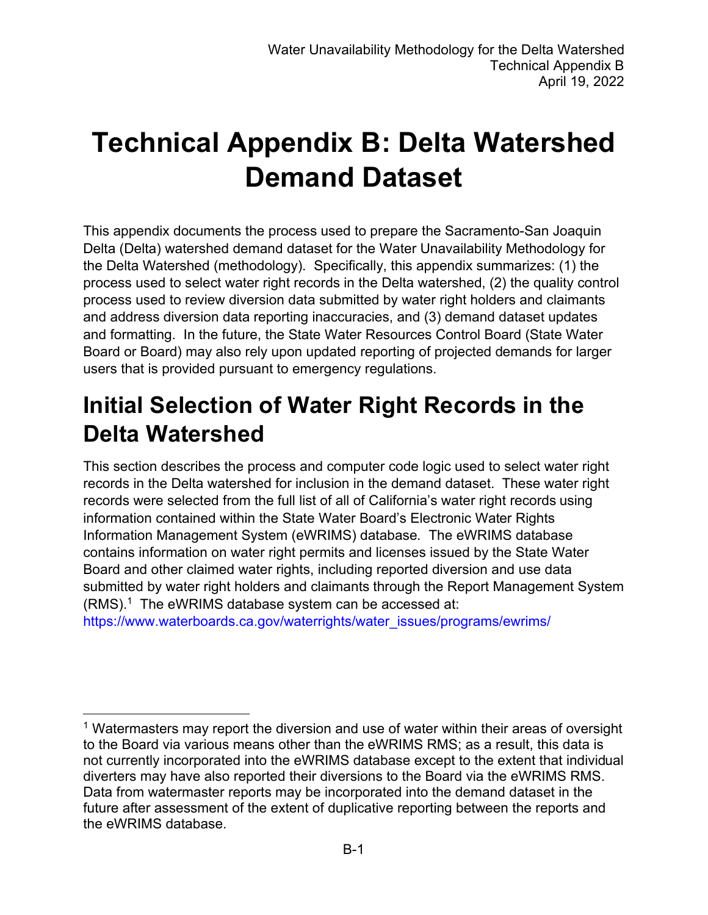# **Technical Appendix B: Delta Watershed Demand Dataset**

This appendix documents the process used to prepare the Sacramento-San Joaquin Delta (Delta) watershed demand dataset for the Water Unavailability Methodology for the Delta Watershed (methodology). Specifically, this appendix summarizes: (1) the process used to select water right records in the Delta watershed, (2) the quality control process used to review diversion data submitted by water right holders and claimants and address diversion data reporting inaccuracies, and (3) demand dataset updates and formatting. In the future, the State Water Resources Control Board (State Water Board or Board) may also rely upon updated reporting of projected demands for larger users that is provided pursuant to emergency regulations.

## **Initial Selection of Water Right Records in the Delta Watershed**

This section describes the process and computer code logic used to select water right records in the Delta watershed for inclusion in the demand dataset. These water right records were selected from the full list of all of California's water right records using information contained within the State Water Board's Electronic Water Rights Information Management System (eWRIMS) database. The eWRIMS database contains information on water right permits and licenses issued by the State Water Board and other claimed water rights, including reported diversion and use data submitted by water right holders and claimants through the Report Management System (RMS). [1](#page-0-0) The eWRIMS database system can be accessed at:

[https://www.waterboards.ca.gov/waterrights/water\\_issues/programs/ewrims/](https://www.waterboards.ca.gov/waterrights/water_issues/programs/ewrims/)

<span id="page-0-0"></span><sup>&</sup>lt;sup>1</sup> Watermasters may report the diversion and use of water within their areas of oversight to the Board via various means other than the eWRIMS RMS; as a result, this data is not currently incorporated into the eWRIMS database except to the extent that individual diverters may have also reported their diversions to the Board via the eWRIMS RMS. Data from watermaster reports may be incorporated into the demand dataset in the future after assessment of the extent of duplicative reporting between the reports and the eWRIMS database.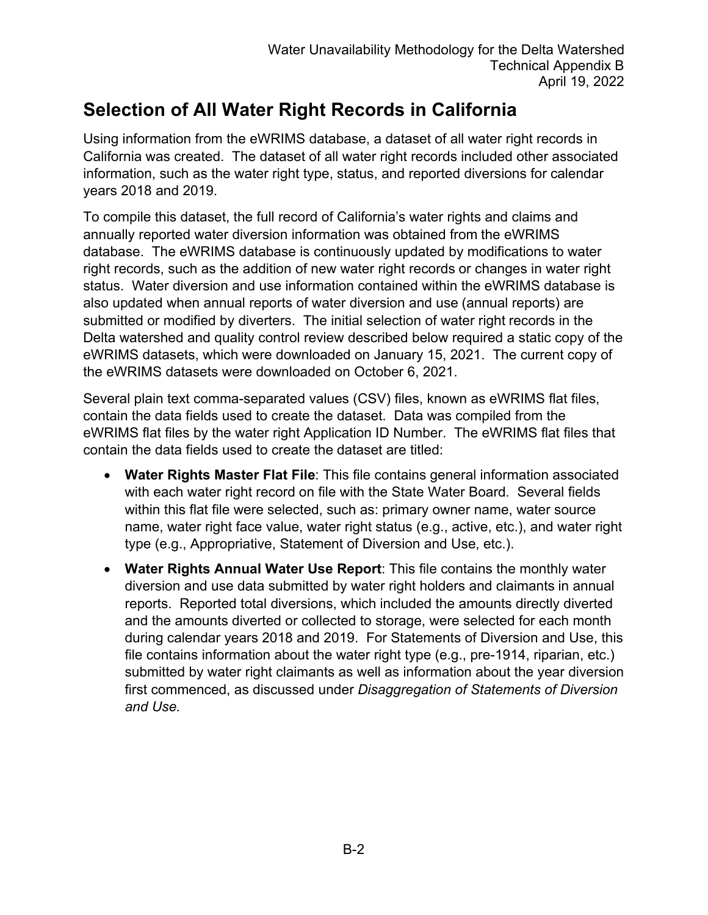### **Selection of All Water Right Records in California**

Using information from the eWRIMS database, a dataset of all water right records in California was created. The dataset of all water right records included other associated information, such as the water right type, status, and reported diversions for calendar years 2018 and 2019.

To compile this dataset, the full record of California's water rights and claims and annually reported water diversion information was obtained from the eWRIMS database. The eWRIMS database is continuously updated by modifications to water right records, such as the addition of new water right records or changes in water right status. Water diversion and use information contained within the eWRIMS database is also updated when annual reports of water diversion and use (annual reports) are submitted or modified by diverters. The initial selection of water right records in the Delta watershed and quality control review described below required a static copy of the eWRIMS datasets, which were downloaded on January 15, 2021. The current copy of the eWRIMS datasets were downloaded on October 6, 2021.

Several plain text comma-separated values (CSV) files, known as eWRIMS flat files, contain the data fields used to create the dataset. Data was compiled from the eWRIMS flat files by the water right Application ID Number. The eWRIMS flat files that contain the data fields used to create the dataset are titled:

- · **Water Rights Master Flat File**: This file contains general information associated with each water right record on file with the State Water Board. Several fields within this flat file were selected, such as: primary owner name, water source name, water right face value, water right status (e.g., active, etc.), and water right type (e.g., Appropriative, Statement of Diversion and Use, etc.).
- · **Water Rights Annual Water Use Report**: This file contains the monthly water diversion and use data submitted by water right holders and claimants in annual reports. Reported total diversions, which included the amounts directly diverted and the amounts diverted or collected to storage, were selected for each month during calendar years 2018 and 2019. For Statements of Diversion and Use, this file contains information about the water right type (e.g., pre-1914, riparian, etc.) submitted by water right claimants as well as information about the year diversion first commenced, as discussed under *Disaggregation of Statements of Diversion and Use.*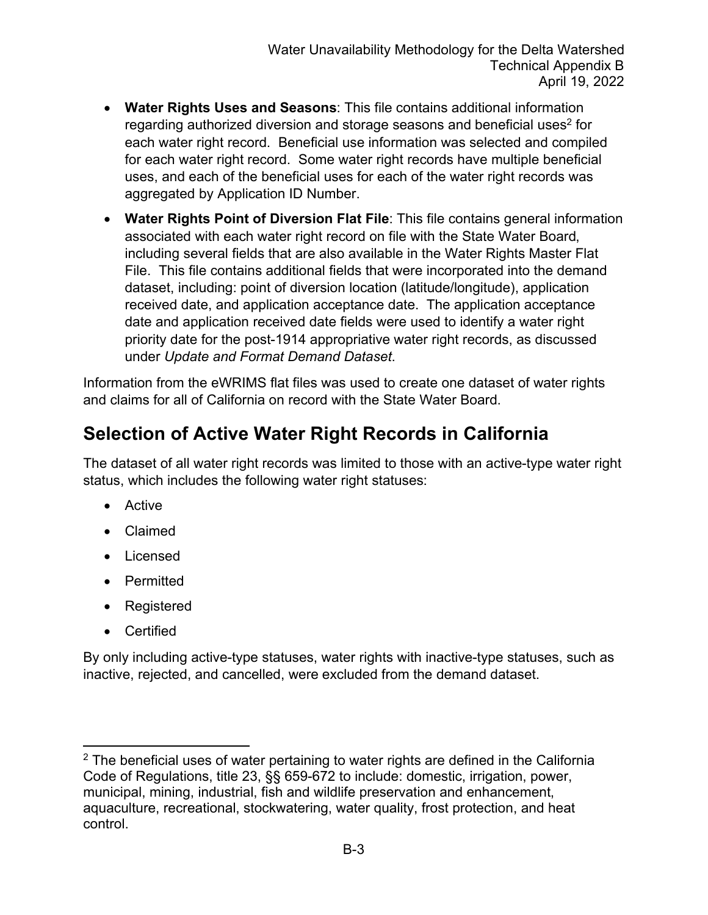- · **Water Rights Uses and Seasons**: This file contains additional information regarding authorized diversion and storage seasons and beneficial uses $^2$  $^2$  for each water right record. Beneficial use information was selected and compiled for each water right record. Some water right records have multiple beneficial uses, and each of the beneficial uses for each of the water right records was aggregated by Application ID Number.
- · **Water Rights Point of Diversion Flat File**: This file contains general information associated with each water right record on file with the State Water Board, including several fields that are also available in the Water Rights Master Flat File. This file contains additional fields that were incorporated into the demand dataset, including: point of diversion location (latitude/longitude), application received date, and application acceptance date. The application acceptance date and application received date fields were used to identify a water right priority date for the post-1914 appropriative water right records, as discussed under *Update and Format Demand Dataset*.

Information from the eWRIMS flat files was used to create one dataset of water rights and claims for all of California on record with the State Water Board.

#### **Selection of Active Water Right Records in California**

The dataset of all water right records was limited to those with an active-type water right status, which includes the following water right statuses:

- · Active
- · Claimed
- · Licensed
- · Permitted
- · Registered
- · Certified

By only including active-type statuses, water rights with inactive-type statuses, such as inactive, rejected, and cancelled, were excluded from the demand dataset.

<span id="page-2-0"></span> $2$  The beneficial uses of water pertaining to water rights are defined in the California Code of Regulations, title 23, §§ 659-672 to include: domestic, irrigation, power, municipal, mining, industrial, fish and wildlife preservation and enhancement, aquaculture, recreational, stockwatering, water quality, frost protection, and heat control.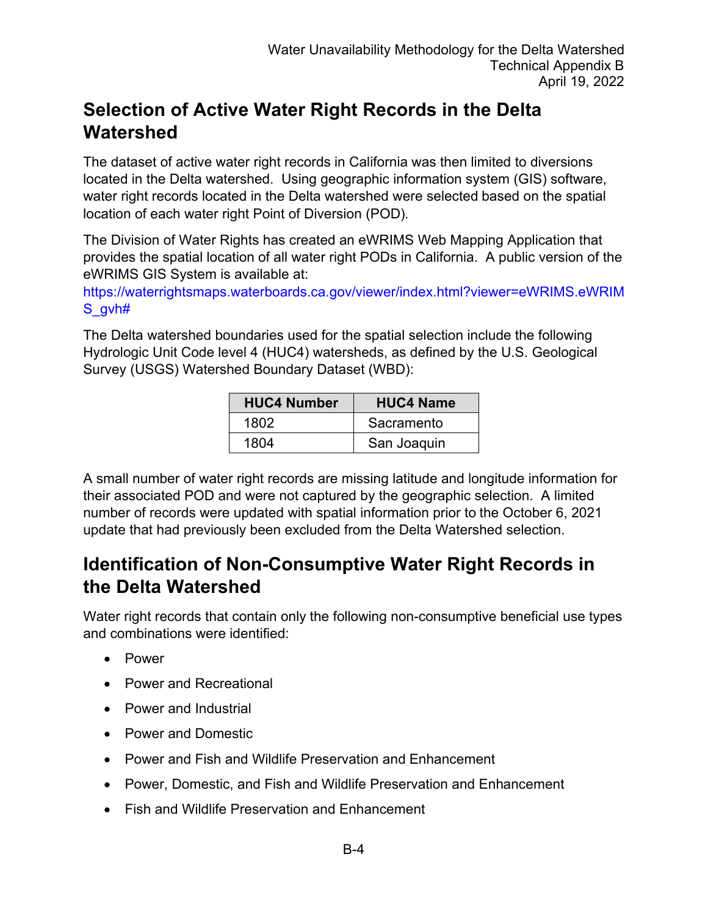### **Selection of Active Water Right Records in the Delta Watershed**

The dataset of active water right records in California was then limited to diversions located in the Delta watershed. Using geographic information system (GIS) software, water right records located in the Delta watershed were selected based on the spatial location of each water right Point of Diversion (POD).

The Division of Water Rights has created an eWRIMS Web Mapping Application that provides the spatial location of all water right PODs in California. A public version of the eWRIMS GIS System is available at:

[https://waterrightsmaps.waterboards.ca.gov/viewer/index.html?viewer=eWRIMS.eWRIM](https://waterrightsmaps.waterboards.ca.gov/viewer/index.html?viewer=eWRIMS.eWRIMS_gvh) [S\\_gvh#](https://waterrightsmaps.waterboards.ca.gov/viewer/index.html?viewer=eWRIMS.eWRIMS_gvh)

The Delta watershed boundaries used for the spatial selection include the following Hydrologic Unit Code level 4 (HUC4) watersheds, as defined by the U.S. Geological Survey (USGS) Watershed Boundary Dataset (WBD):

| <b>HUC4 Number</b> | <b>HUC4 Name</b> |
|--------------------|------------------|
| 1802               | Sacramento       |
| 1804               | San Joaquin      |

A small number of water right records are missing latitude and longitude information for their associated POD and were not captured by the geographic selection. A limited number of records were updated with spatial information prior to the October 6, 2021 update that had previously been excluded from the Delta Watershed selection.

#### **Identification of Non-Consumptive Water Right Records in the Delta Watershed**

Water right records that contain only the following non-consumptive beneficial use types and combinations were identified:

- · Power
- Power and Recreational
- · Power and Industrial
- · Power and Domestic
- · Power and Fish and Wildlife Preservation and Enhancement
- · Power, Domestic, and Fish and Wildlife Preservation and Enhancement
- · Fish and Wildlife Preservation and Enhancement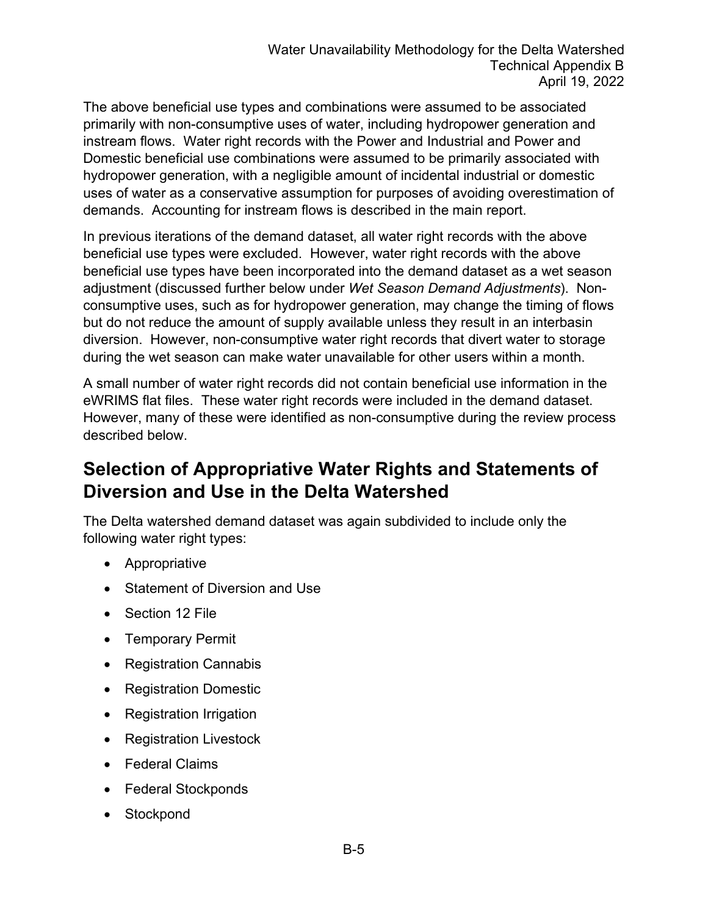The above beneficial use types and combinations were assumed to be associated primarily with non-consumptive uses of water, including hydropower generation and instream flows. Water right records with the Power and Industrial and Power and Domestic beneficial use combinations were assumed to be primarily associated with hydropower generation, with a negligible amount of incidental industrial or domestic uses of water as a conservative assumption for purposes of avoiding overestimation of demands. Accounting for instream flows is described in the main report.

In previous iterations of the demand dataset, all water right records with the above beneficial use types were excluded. However, water right records with the above beneficial use types have been incorporated into the demand dataset as a wet season adjustment (discussed further below under *Wet Season Demand Adjustments*). Nonconsumptive uses, such as for hydropower generation, may change the timing of flows but do not reduce the amount of supply available unless they result in an interbasin diversion. However, non-consumptive water right records that divert water to storage during the wet season can make water unavailable for other users within a month.

A small number of water right records did not contain beneficial use information in the eWRIMS flat files. These water right records were included in the demand dataset. However, many of these were identified as non-consumptive during the review process described below.

## **Selection of Appropriative Water Rights and Statements of Diversion and Use in the Delta Watershed**

The Delta watershed demand dataset was again subdivided to include only the following water right types:

- · Appropriative
- Statement of Diversion and Use
- Section 12 File
- · Temporary Permit
- · Registration Cannabis
- · Registration Domestic
- · Registration Irrigation
- · Registration Livestock
- · Federal Claims
- · Federal Stockponds
- Stockpond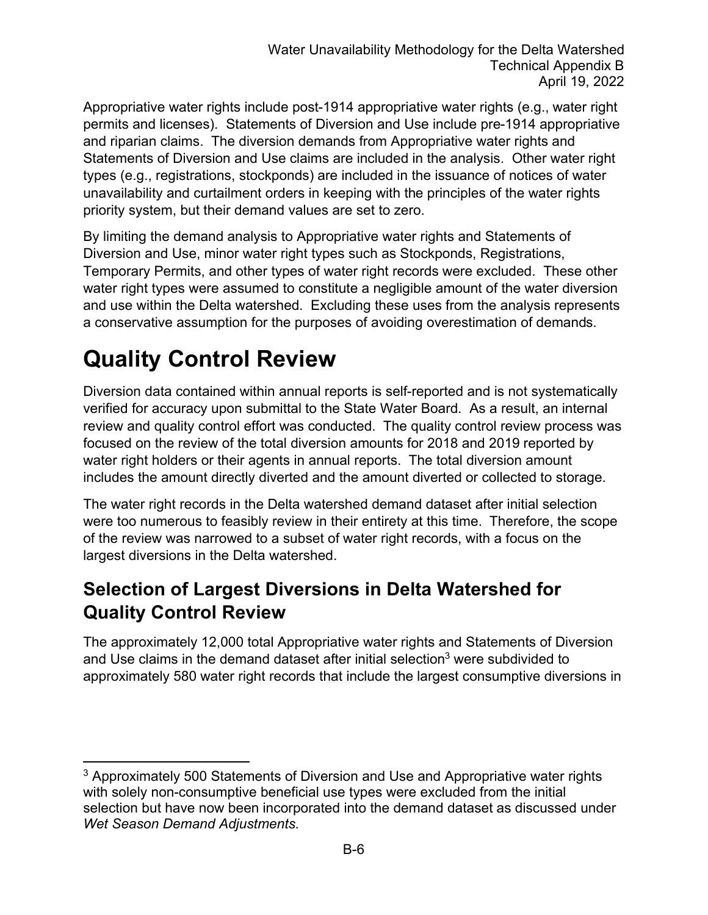Appropriative water rights include post-1914 appropriative water rights (e.g., water right permits and licenses). Statements of Diversion and Use include pre-1914 appropriative and riparian claims. The diversion demands from Appropriative water rights and Statements of Diversion and Use claims are included in the analysis. Other water right types (e.g., registrations, stockponds) are included in the issuance of notices of water unavailability and curtailment orders in keeping with the principles of the water rights priority system, but their demand values are set to zero.

By limiting the demand analysis to Appropriative water rights and Statements of Diversion and Use, minor water right types such as Stockponds, Registrations, Temporary Permits, and other types of water right records were excluded. These other water right types were assumed to constitute a negligible amount of the water diversion and use within the Delta watershed. Excluding these uses from the analysis represents a conservative assumption for the purposes of avoiding overestimation of demands.

## **Quality Control Review**

Diversion data contained within annual reports is self-reported and is not systematically verified for accuracy upon submittal to the State Water Board. As a result, an internal review and quality control effort was conducted. The quality control review process was focused on the review of the total diversion amounts for 2018 and 2019 reported by water right holders or their agents in annual reports. The total diversion amount includes the amount directly diverted and the amount diverted or collected to storage.

The water right records in the Delta watershed demand dataset after initial selection were too numerous to feasibly review in their entirety at this time. Therefore, the scope of the review was narrowed to a subset of water right records, with a focus on the largest diversions in the Delta watershed.

#### **Selection of Largest Diversions in Delta Watershed for Quality Control Review**

The approximately 12,000 total Appropriative water rights and Statements of Diversion and Use claims in the demand dataset after initial selection<sup>[3](#page-5-0)</sup> were subdivided to approximately 580 water right records that include the largest consumptive diversions in

<span id="page-5-0"></span><sup>&</sup>lt;sup>3</sup> Approximately 500 Statements of Diversion and Use and Appropriative water rights with solely non-consumptive beneficial use types were excluded from the initial selection but have now been incorporated into the demand dataset as discussed under *Wet Season Demand Adjustments*.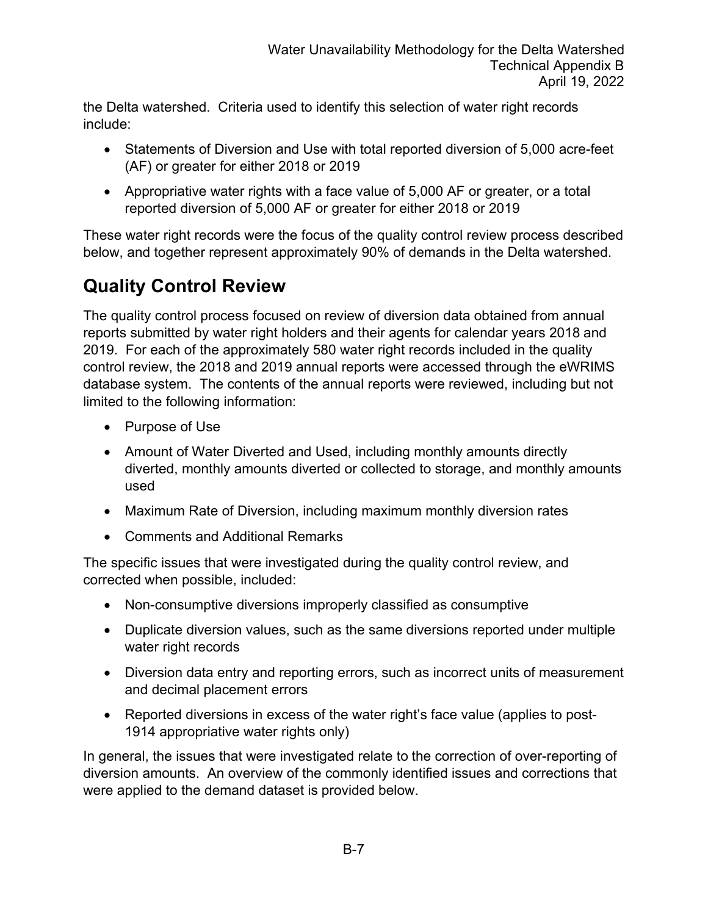the Delta watershed. Criteria used to identify this selection of water right records include:

- · Statements of Diversion and Use with total reported diversion of 5,000 acre-feet (AF) or greater for either 2018 or 2019
- · Appropriative water rights with a face value of 5,000 AF or greater, or a total reported diversion of 5,000 AF or greater for either 2018 or 2019

These water right records were the focus of the quality control review process described below, and together represent approximately 90% of demands in the Delta watershed.

## **Quality Control Review**

The quality control process focused on review of diversion data obtained from annual reports submitted by water right holders and their agents for calendar years 2018 and 2019. For each of the approximately 580 water right records included in the quality control review, the 2018 and 2019 annual reports were accessed through the eWRIMS database system. The contents of the annual reports were reviewed, including but not limited to the following information:

- · Purpose of Use
- Amount of Water Diverted and Used, including monthly amounts directly diverted, monthly amounts diverted or collected to storage, and monthly amounts used
- · Maximum Rate of Diversion, including maximum monthly diversion rates
- · Comments and Additional Remarks

The specific issues that were investigated during the quality control review, and corrected when possible, included:

- · Non-consumptive diversions improperly classified as consumptive
- · Duplicate diversion values, such as the same diversions reported under multiple water right records
- · Diversion data entry and reporting errors, such as incorrect units of measurement and decimal placement errors
- · Reported diversions in excess of the water right's face value (applies to post-1914 appropriative water rights only)

In general, the issues that were investigated relate to the correction of over-reporting of diversion amounts. An overview of the commonly identified issues and corrections that were applied to the demand dataset is provided below.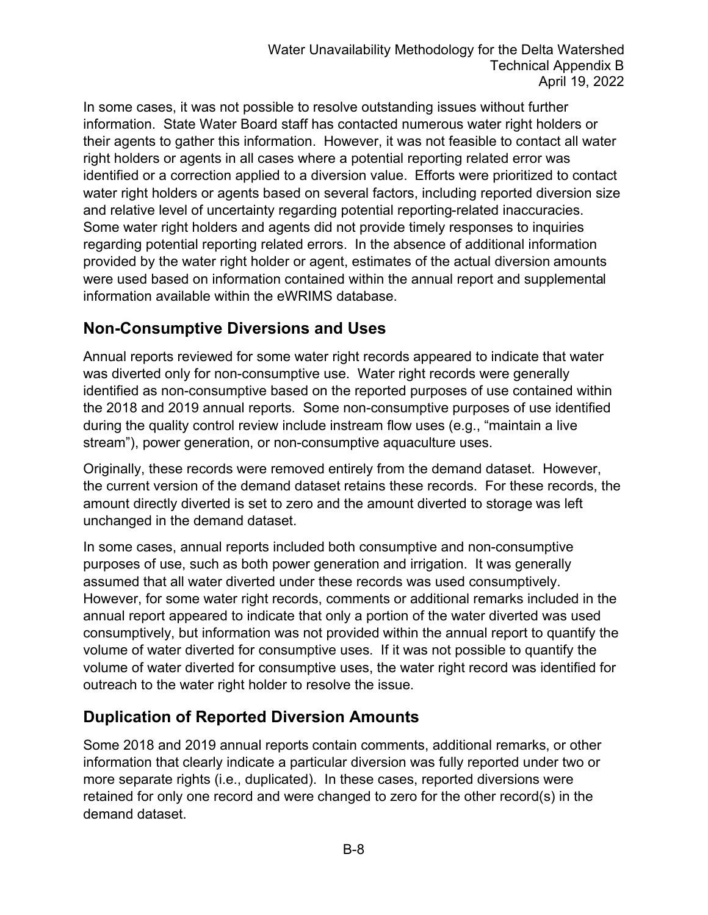In some cases, it was not possible to resolve outstanding issues without further information. State Water Board staff has contacted numerous water right holders or their agents to gather this information. However, it was not feasible to contact all water right holders or agents in all cases where a potential reporting related error was identified or a correction applied to a diversion value. Efforts were prioritized to contact water right holders or agents based on several factors, including reported diversion size and relative level of uncertainty regarding potential reporting-related inaccuracies. Some water right holders and agents did not provide timely responses to inquiries regarding potential reporting related errors. In the absence of additional information provided by the water right holder or agent, estimates of the actual diversion amounts were used based on information contained within the annual report and supplemental information available within the eWRIMS database.

#### **Non-Consumptive Diversions and Uses**

Annual reports reviewed for some water right records appeared to indicate that water was diverted only for non-consumptive use. Water right records were generally identified as non-consumptive based on the reported purposes of use contained within the 2018 and 2019 annual reports. Some non-consumptive purposes of use identified during the quality control review include instream flow uses (e.g., "maintain a live stream"), power generation, or non-consumptive aquaculture uses.

Originally, these records were removed entirely from the demand dataset. However, the current version of the demand dataset retains these records. For these records, the amount directly diverted is set to zero and the amount diverted to storage was left unchanged in the demand dataset.

In some cases, annual reports included both consumptive and non-consumptive purposes of use, such as both power generation and irrigation. It was generally assumed that all water diverted under these records was used consumptively. However, for some water right records, comments or additional remarks included in the annual report appeared to indicate that only a portion of the water diverted was used consumptively, but information was not provided within the annual report to quantify the volume of water diverted for consumptive uses. If it was not possible to quantify the volume of water diverted for consumptive uses, the water right record was identified for outreach to the water right holder to resolve the issue.

#### **Duplication of Reported Diversion Amounts**

Some 2018 and 2019 annual reports contain comments, additional remarks, or other information that clearly indicate a particular diversion was fully reported under two or more separate rights (i.e., duplicated). In these cases, reported diversions were retained for only one record and were changed to zero for the other record(s) in the demand dataset.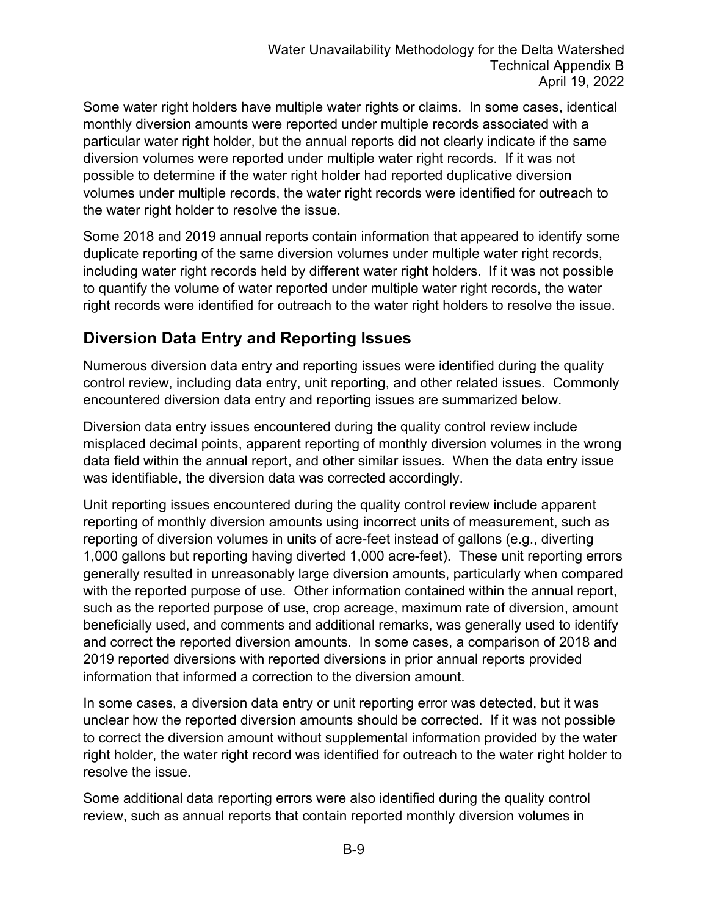Some water right holders have multiple water rights or claims. In some cases, identical monthly diversion amounts were reported under multiple records associated with a particular water right holder, but the annual reports did not clearly indicate if the same diversion volumes were reported under multiple water right records. If it was not possible to determine if the water right holder had reported duplicative diversion volumes under multiple records, the water right records were identified for outreach to the water right holder to resolve the issue.

Some 2018 and 2019 annual reports contain information that appeared to identify some duplicate reporting of the same diversion volumes under multiple water right records, including water right records held by different water right holders. If it was not possible to quantify the volume of water reported under multiple water right records, the water right records were identified for outreach to the water right holders to resolve the issue.

#### **Diversion Data Entry and Reporting Issues**

Numerous diversion data entry and reporting issues were identified during the quality control review, including data entry, unit reporting, and other related issues. Commonly encountered diversion data entry and reporting issues are summarized below.

Diversion data entry issues encountered during the quality control review include misplaced decimal points, apparent reporting of monthly diversion volumes in the wrong data field within the annual report, and other similar issues. When the data entry issue was identifiable, the diversion data was corrected accordingly.

Unit reporting issues encountered during the quality control review include apparent reporting of monthly diversion amounts using incorrect units of measurement, such as reporting of diversion volumes in units of acre-feet instead of gallons (e.g., diverting 1,000 gallons but reporting having diverted 1,000 acre-feet). These unit reporting errors generally resulted in unreasonably large diversion amounts, particularly when compared with the reported purpose of use. Other information contained within the annual report, such as the reported purpose of use, crop acreage, maximum rate of diversion, amount beneficially used, and comments and additional remarks, was generally used to identify and correct the reported diversion amounts. In some cases, a comparison of 2018 and 2019 reported diversions with reported diversions in prior annual reports provided information that informed a correction to the diversion amount.

In some cases, a diversion data entry or unit reporting error was detected, but it was unclear how the reported diversion amounts should be corrected. If it was not possible to correct the diversion amount without supplemental information provided by the water right holder, the water right record was identified for outreach to the water right holder to resolve the issue.

Some additional data reporting errors were also identified during the quality control review, such as annual reports that contain reported monthly diversion volumes in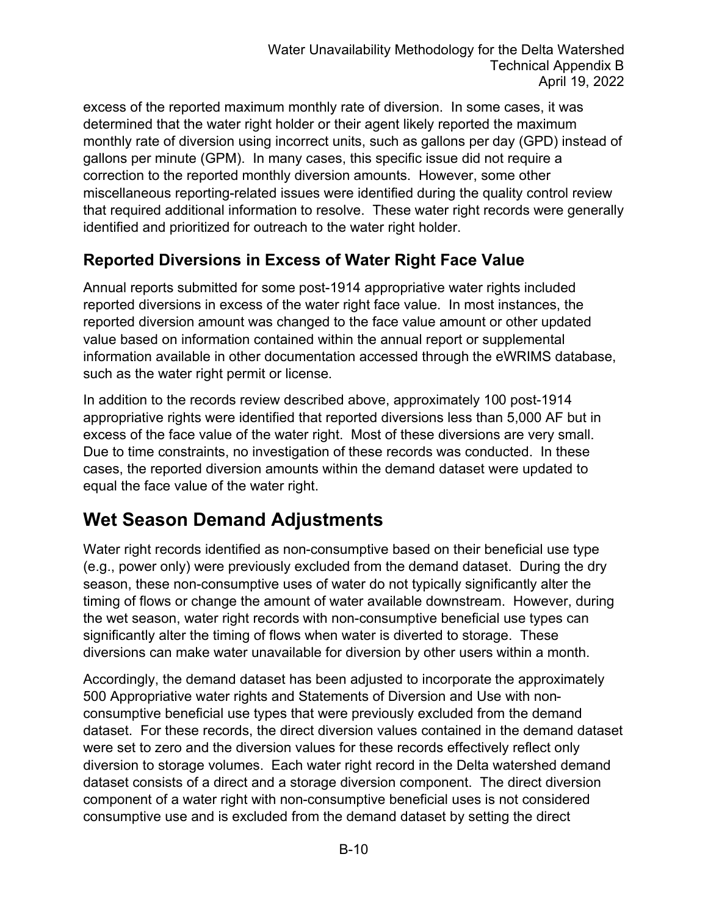excess of the reported maximum monthly rate of diversion. In some cases, it was determined that the water right holder or their agent likely reported the maximum monthly rate of diversion using incorrect units, such as gallons per day (GPD) instead of gallons per minute (GPM). In many cases, this specific issue did not require a correction to the reported monthly diversion amounts. However, some other miscellaneous reporting-related issues were identified during the quality control review that required additional information to resolve. These water right records were generally identified and prioritized for outreach to the water right holder.

#### **Reported Diversions in Excess of Water Right Face Value**

Annual reports submitted for some post-1914 appropriative water rights included reported diversions in excess of the water right face value. In most instances, the reported diversion amount was changed to the face value amount or other updated value based on information contained within the annual report or supplemental information available in other documentation accessed through the eWRIMS database, such as the water right permit or license.

In addition to the records review described above, approximately 100 post-1914 appropriative rights were identified that reported diversions less than 5,000 AF but in excess of the face value of the water right. Most of these diversions are very small. Due to time constraints, no investigation of these records was conducted. In these cases, the reported diversion amounts within the demand dataset were updated to equal the face value of the water right.

### **Wet Season Demand Adjustments**

Water right records identified as non-consumptive based on their beneficial use type (e.g., power only) were previously excluded from the demand dataset. During the dry season, these non-consumptive uses of water do not typically significantly alter the timing of flows or change the amount of water available downstream. However, during the wet season, water right records with non-consumptive beneficial use types can significantly alter the timing of flows when water is diverted to storage. These diversions can make water unavailable for diversion by other users within a month.

Accordingly, the demand dataset has been adjusted to incorporate the approximately 500 Appropriative water rights and Statements of Diversion and Use with nonconsumptive beneficial use types that were previously excluded from the demand dataset. For these records, the direct diversion values contained in the demand dataset were set to zero and the diversion values for these records effectively reflect only diversion to storage volumes. Each water right record in the Delta watershed demand dataset consists of a direct and a storage diversion component. The direct diversion component of a water right with non-consumptive beneficial uses is not considered consumptive use and is excluded from the demand dataset by setting the direct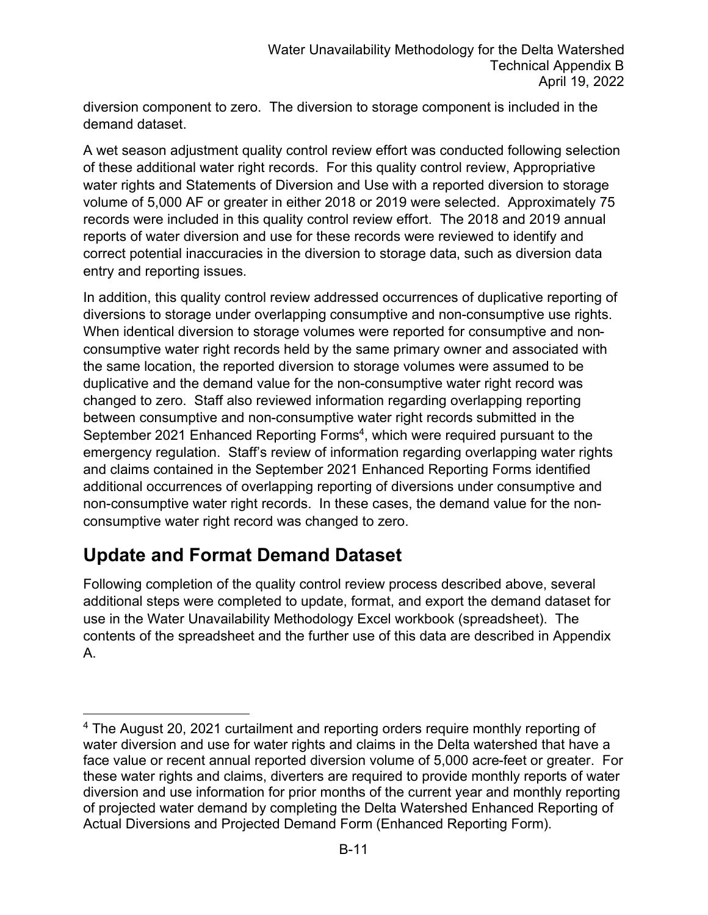diversion component to zero. The diversion to storage component is included in the demand dataset.

A wet season adjustment quality control review effort was conducted following selection of these additional water right records. For this quality control review, Appropriative water rights and Statements of Diversion and Use with a reported diversion to storage volume of 5,000 AF or greater in either 2018 or 2019 were selected. Approximately 75 records were included in this quality control review effort. The 2018 and 2019 annual reports of water diversion and use for these records were reviewed to identify and correct potential inaccuracies in the diversion to storage data, such as diversion data entry and reporting issues.

In addition, this quality control review addressed occurrences of duplicative reporting of diversions to storage under overlapping consumptive and non-consumptive use rights. When identical diversion to storage volumes were reported for consumptive and nonconsumptive water right records held by the same primary owner and associated with the same location, the reported diversion to storage volumes were assumed to be duplicative and the demand value for the non-consumptive water right record was changed to zero. Staff also reviewed information regarding overlapping reporting between consumptive and non-consumptive water right records submitted in the September 2021 Enhanced Reporting Forms<sup>[4](#page-10-0)</sup>, which were required pursuant to the emergency regulation. Staff's review of information regarding overlapping water rights and claims contained in the September 2021 Enhanced Reporting Forms identified additional occurrences of overlapping reporting of diversions under consumptive and non-consumptive water right records. In these cases, the demand value for the nonconsumptive water right record was changed to zero.

#### **Update and Format Demand Dataset**

Following completion of the quality control review process described above, several additional steps were completed to update, format, and export the demand dataset for use in the Water Unavailability Methodology Excel workbook (spreadsheet). The contents of the spreadsheet and the further use of this data are described in Appendix A.

<span id="page-10-0"></span><sup>4</sup> The August 20, 2021 curtailment and reporting orders require monthly reporting of water diversion and use for water rights and claims in the Delta watershed that have a face value or recent annual reported diversion volume of 5,000 acre-feet or greater. For these water rights and claims, diverters are required to provide monthly reports of water diversion and use information for prior months of the current year and monthly reporting of projected water demand by completing the Delta Watershed Enhanced Reporting of Actual Diversions and Projected Demand Form (Enhanced Reporting Form).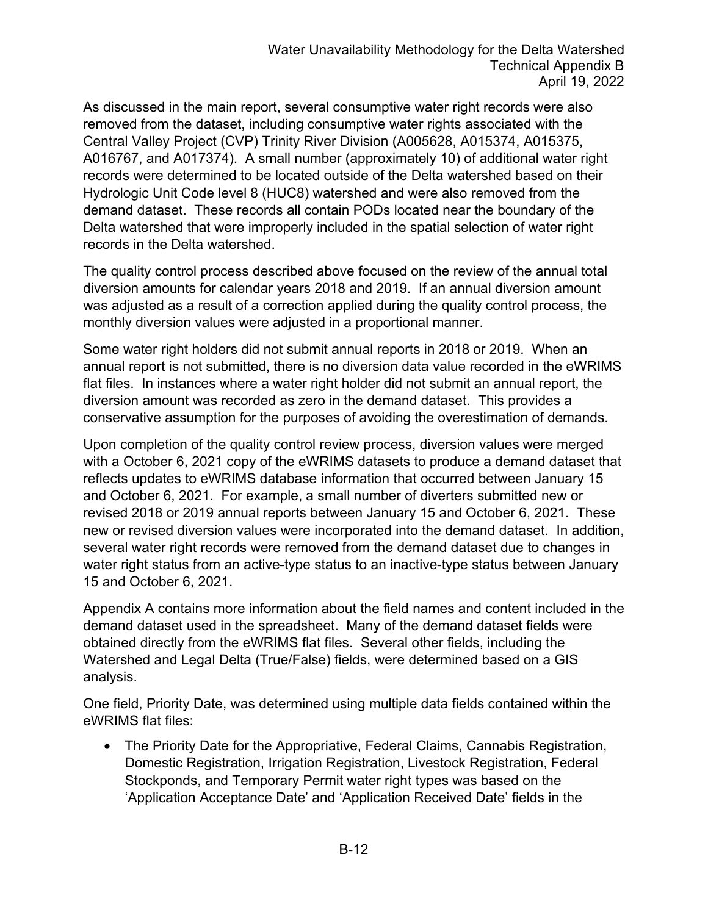As discussed in the main report, several consumptive water right records were also removed from the dataset, including consumptive water rights associated with the Central Valley Project (CVP) Trinity River Division (A005628, A015374, A015375, A016767, and A017374). A small number (approximately 10) of additional water right records were determined to be located outside of the Delta watershed based on their Hydrologic Unit Code level 8 (HUC8) watershed and were also removed from the demand dataset. These records all contain PODs located near the boundary of the Delta watershed that were improperly included in the spatial selection of water right records in the Delta watershed.

The quality control process described above focused on the review of the annual total diversion amounts for calendar years 2018 and 2019. If an annual diversion amount was adjusted as a result of a correction applied during the quality control process, the monthly diversion values were adjusted in a proportional manner.

Some water right holders did not submit annual reports in 2018 or 2019. When an annual report is not submitted, there is no diversion data value recorded in the eWRIMS flat files. In instances where a water right holder did not submit an annual report, the diversion amount was recorded as zero in the demand dataset. This provides a conservative assumption for the purposes of avoiding the overestimation of demands.

Upon completion of the quality control review process, diversion values were merged with a October 6, 2021 copy of the eWRIMS datasets to produce a demand dataset that reflects updates to eWRIMS database information that occurred between January 15 and October 6, 2021. For example, a small number of diverters submitted new or revised 2018 or 2019 annual reports between January 15 and October 6, 2021. These new or revised diversion values were incorporated into the demand dataset. In addition, several water right records were removed from the demand dataset due to changes in water right status from an active-type status to an inactive-type status between January 15 and October 6, 2021.

Appendix A contains more information about the field names and content included in the demand dataset used in the spreadsheet. Many of the demand dataset fields were obtained directly from the eWRIMS flat files. Several other fields, including the Watershed and Legal Delta (True/False) fields, were determined based on a GIS analysis.

One field, Priority Date, was determined using multiple data fields contained within the eWRIMS flat files:

· The Priority Date for the Appropriative, Federal Claims, Cannabis Registration, Domestic Registration, Irrigation Registration, Livestock Registration, Federal Stockponds, and Temporary Permit water right types was based on the 'Application Acceptance Date' and 'Application Received Date' fields in the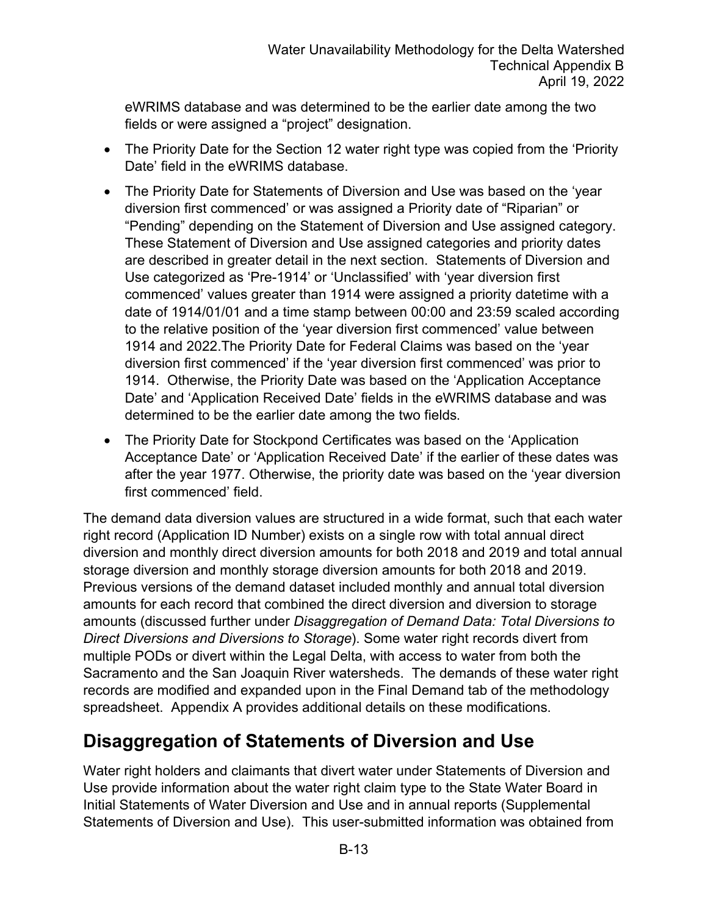eWRIMS database and was determined to be the earlier date among the two fields or were assigned a "project" designation.

- The Priority Date for the Section 12 water right type was copied from the 'Priority' Date' field in the eWRIMS database.
- · The Priority Date for Statements of Diversion and Use was based on the 'year diversion first commenced' or was assigned a Priority date of "Riparian" or "Pending" depending on the Statement of Diversion and Use assigned category. These Statement of Diversion and Use assigned categories and priority dates are described in greater detail in the next section. Statements of Diversion and Use categorized as 'Pre-1914' or 'Unclassified' with 'year diversion first commenced' values greater than 1914 were assigned a priority datetime with a date of 1914/01/01 and a time stamp between 00:00 and 23:59 scaled according to the relative position of the 'year diversion first commenced' value between 1914 and 2022.The Priority Date for Federal Claims was based on the 'year diversion first commenced' if the 'year diversion first commenced' was prior to 1914. Otherwise, the Priority Date was based on the 'Application Acceptance Date' and 'Application Received Date' fields in the eWRIMS database and was determined to be the earlier date among the two fields.
- The Priority Date for Stockpond Certificates was based on the 'Application Acceptance Date' or 'Application Received Date' if the earlier of these dates was after the year 1977. Otherwise, the priority date was based on the 'year diversion first commenced' field.

The demand data diversion values are structured in a wide format, such that each water right record (Application ID Number) exists on a single row with total annual direct diversion and monthly direct diversion amounts for both 2018 and 2019 and total annual storage diversion and monthly storage diversion amounts for both 2018 and 2019. Previous versions of the demand dataset included monthly and annual total diversion amounts for each record that combined the direct diversion and diversion to storage amounts (discussed further under *Disaggregation of Demand Data: Total Diversions to Direct Diversions and Diversions to Storage*). Some water right records divert from multiple PODs or divert within the Legal Delta, with access to water from both the Sacramento and the San Joaquin River watersheds. The demands of these water right records are modified and expanded upon in the Final Demand tab of the methodology spreadsheet. Appendix A provides additional details on these modifications.

#### **Disaggregation of Statements of Diversion and Use**

Water right holders and claimants that divert water under Statements of Diversion and Use provide information about the water right claim type to the State Water Board in Initial Statements of Water Diversion and Use and in annual reports (Supplemental Statements of Diversion and Use). This user-submitted information was obtained from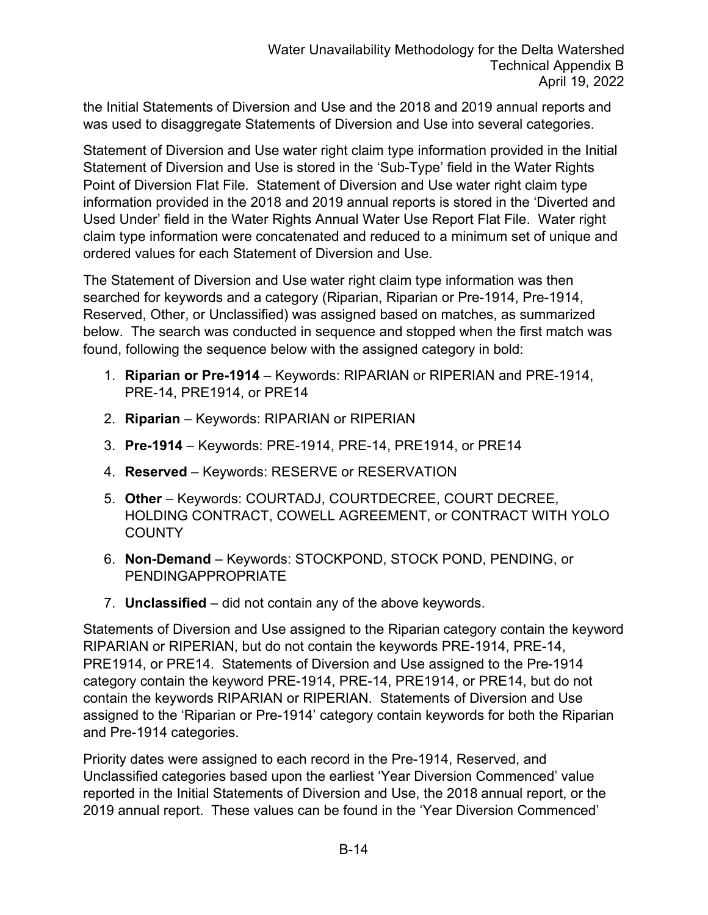the Initial Statements of Diversion and Use and the 2018 and 2019 annual reports and was used to disaggregate Statements of Diversion and Use into several categories.

Statement of Diversion and Use water right claim type information provided in the Initial Statement of Diversion and Use is stored in the 'Sub-Type' field in the Water Rights Point of Diversion Flat File. Statement of Diversion and Use water right claim type information provided in the 2018 and 2019 annual reports is stored in the 'Diverted and Used Under' field in the Water Rights Annual Water Use Report Flat File. Water right claim type information were concatenated and reduced to a minimum set of unique and ordered values for each Statement of Diversion and Use.

The Statement of Diversion and Use water right claim type information was then searched for keywords and a category (Riparian, Riparian or Pre-1914, Pre-1914, Reserved, Other, or Unclassified) was assigned based on matches, as summarized below. The search was conducted in sequence and stopped when the first match was found, following the sequence below with the assigned category in bold:

- 1. **Riparian or Pre-1914** Keywords: RIPARIAN or RIPERIAN and PRE-1914, PRE-14, PRE1914, or PRE14
- 2. **Riparian**  Keywords: RIPARIAN or RIPERIAN
- 3. **Pre-1914** Keywords: PRE-1914, PRE-14, PRE1914, or PRE14
- 4. **Reserved** Keywords: RESERVE or RESERVATION
- 5. **Other**  Keywords: COURTADJ, COURTDECREE, COURT DECREE, HOLDING CONTRACT, COWELL AGREEMENT, or CONTRACT WITH YOLO **COUNTY**
- 6. **Non-Demand** Keywords: STOCKPOND, STOCK POND, PENDING, or PENDINGAPPROPRIATE
- 7. **Unclassified**  did not contain any of the above keywords.

Statements of Diversion and Use assigned to the Riparian category contain the keyword RIPARIAN or RIPERIAN, but do not contain the keywords PRE-1914, PRE-14, PRE1914, or PRE14. Statements of Diversion and Use assigned to the Pre-1914 category contain the keyword PRE-1914, PRE-14, PRE1914, or PRE14, but do not contain the keywords RIPARIAN or RIPERIAN. Statements of Diversion and Use assigned to the 'Riparian or Pre-1914' category contain keywords for both the Riparian and Pre-1914 categories.

Priority dates were assigned to each record in the Pre-1914, Reserved, and Unclassified categories based upon the earliest 'Year Diversion Commenced' value reported in the Initial Statements of Diversion and Use, the 2018 annual report, or the 2019 annual report. These values can be found in the 'Year Diversion Commenced'